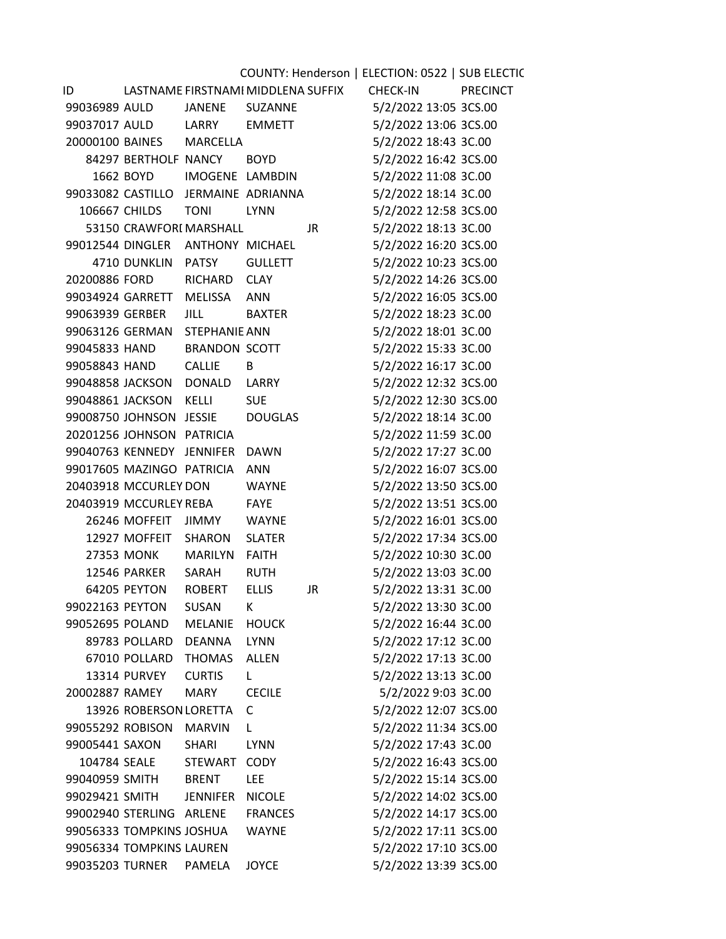| COUNTY: Henderson   ELECTION: 0522   SUB ELECTIC |                           |                                     |                |     |                       |                 |  |  |  |
|--------------------------------------------------|---------------------------|-------------------------------------|----------------|-----|-----------------------|-----------------|--|--|--|
| ID                                               |                           | LASTNAME FIRSTNAMI MIDDLENA SUFFIX  |                |     | <b>CHECK-IN</b>       | <b>PRECINCT</b> |  |  |  |
| 99036989 AULD                                    |                           | JANENE SUZANNE                      |                |     | 5/2/2022 13:05 3CS.00 |                 |  |  |  |
| 99037017 AULD                                    |                           | LARRY EMMETT                        |                |     | 5/2/2022 13:06 3CS.00 |                 |  |  |  |
|                                                  |                           | 20000100 BAINES MARCELLA            |                |     | 5/2/2022 18:43 3C.00  |                 |  |  |  |
|                                                  | 84297 BERTHOLF NANCY      |                                     | <b>BOYD</b>    |     | 5/2/2022 16:42 3CS.00 |                 |  |  |  |
|                                                  |                           | 1662 BOYD IMOGENE LAMBDIN           |                |     | 5/2/2022 11:08 3C.00  |                 |  |  |  |
|                                                  |                           | 99033082 CASTILLO JERMAINE ADRIANNA |                |     | 5/2/2022 18:14 3C.00  |                 |  |  |  |
|                                                  | <b>106667 CHILDS</b>      | TONI                                | <b>LYNN</b>    |     | 5/2/2022 12:58 3CS.00 |                 |  |  |  |
|                                                  |                           | 53150 CRAWFORI MARSHALL             |                | JR. | 5/2/2022 18:13 3C.00  |                 |  |  |  |
|                                                  |                           | 99012544 DINGLER ANTHONY MICHAEL    |                |     | 5/2/2022 16:20 3CS.00 |                 |  |  |  |
|                                                  | 4710 DUNKLIN PATSY        |                                     | <b>GULLETT</b> |     | 5/2/2022 10:23 3CS.00 |                 |  |  |  |
|                                                  |                           | 20200886 FORD RICHARD CLAY          |                |     | 5/2/2022 14:26 3CS.00 |                 |  |  |  |
|                                                  | 99034924 GARRETT MELISSA  |                                     | ANN            |     | 5/2/2022 16:05 3CS.00 |                 |  |  |  |
| 99063939 GERBER                                  |                           | <b>JILL</b>                         | BAXTER         |     | 5/2/2022 18:23 3C.00  |                 |  |  |  |
|                                                  |                           | 99063126 GERMAN STEPHANIE ANN       |                |     | 5/2/2022 18:01 3C.00  |                 |  |  |  |
| 99045833 HAND                                    |                           | BRANDON SCOTT                       |                |     | 5/2/2022 15:33 3C.00  |                 |  |  |  |
| 99058843 HAND                                    |                           | <b>CALLIE</b>                       | B              |     | 5/2/2022 16:17 3C.00  |                 |  |  |  |
|                                                  |                           | 99048858 JACKSON DONALD LARRY       |                |     | 5/2/2022 12:32 3CS.00 |                 |  |  |  |
|                                                  | 99048861 JACKSON KELLI    |                                     | <b>SUE</b>     |     | 5/2/2022 12:30 3CS.00 |                 |  |  |  |
|                                                  | 99008750 JOHNSON JESSIE   |                                     | DOUGLAS        |     | 5/2/2022 18:14 3C.00  |                 |  |  |  |
|                                                  | 20201256 JOHNSON PATRICIA |                                     |                |     | 5/2/2022 11:59 3C.00  |                 |  |  |  |
|                                                  |                           | 99040763 KENNEDY JENNIFER DAWN      |                |     | 5/2/2022 17:27 3C.00  |                 |  |  |  |
|                                                  | 99017605 MAZINGO PATRICIA |                                     | <b>ANN</b>     |     | 5/2/2022 16:07 3CS.00 |                 |  |  |  |
|                                                  | 20403918 MCCURLEY DON     |                                     | WAYNE          |     | 5/2/2022 13:50 3CS.00 |                 |  |  |  |
|                                                  | 20403919 MCCURLEY REBA    |                                     | <b>FAYE</b>    |     | 5/2/2022 13:51 3CS.00 |                 |  |  |  |
|                                                  |                           | 26246 MOFFEIT JIMMY WAYNE           |                |     | 5/2/2022 16:01 3CS.00 |                 |  |  |  |
|                                                  | 12927 MOFFEIT SHARON      |                                     | <b>SLATER</b>  |     | 5/2/2022 17:34 3CS.00 |                 |  |  |  |
|                                                  | 27353 MONK                | MARILYN FAITH                       |                |     | 5/2/2022 10:30 3C.00  |                 |  |  |  |
|                                                  | 12546 PARKER              | SARAH                               | <b>RUTH</b>    |     | 5/2/2022 13:03 3C.00  |                 |  |  |  |
|                                                  | 64205 PEYTON              | ROBERT                              | <b>ELLIS</b>   | JR  | 5/2/2022 13:31 3C.00  |                 |  |  |  |
| 99022163 PEYTON                                  |                           | <b>SUSAN</b>                        | K              |     | 5/2/2022 13:30 3C.00  |                 |  |  |  |
| 99052695 POLAND                                  |                           | <b>MELANIE</b>                      | <b>HOUCK</b>   |     | 5/2/2022 16:44 3C.00  |                 |  |  |  |
|                                                  | 89783 POLLARD             | <b>DEANNA</b>                       | <b>LYNN</b>    |     | 5/2/2022 17:12 3C.00  |                 |  |  |  |
|                                                  | 67010 POLLARD             | <b>THOMAS</b>                       | ALLEN          |     | 5/2/2022 17:13 3C.00  |                 |  |  |  |
|                                                  | 13314 PURVEY              | <b>CURTIS</b>                       | L.             |     | 5/2/2022 13:13 3C.00  |                 |  |  |  |
| 20002887 RAMEY                                   |                           | <b>MARY</b>                         | <b>CECILE</b>  |     | 5/2/2022 9:03 3C.00   |                 |  |  |  |
|                                                  | 13926 ROBERSON LORETTA    |                                     | C              |     | 5/2/2022 12:07 3CS.00 |                 |  |  |  |
| 99055292 ROBISON                                 |                           | MARVIN                              | L              |     | 5/2/2022 11:34 3CS.00 |                 |  |  |  |
| 99005441 SAXON                                   |                           | <b>SHARI</b>                        | <b>LYNN</b>    |     | 5/2/2022 17:43 3C.00  |                 |  |  |  |
| 104784 SEALE                                     |                           | <b>STEWART</b>                      | <b>CODY</b>    |     | 5/2/2022 16:43 3CS.00 |                 |  |  |  |
| 99040959 SMITH                                   |                           | <b>BRENT</b>                        | <b>LEE</b>     |     | 5/2/2022 15:14 3CS.00 |                 |  |  |  |
| 99029421 SMITH                                   |                           | <b>JENNIFER</b>                     | <b>NICOLE</b>  |     | 5/2/2022 14:02 3CS.00 |                 |  |  |  |
|                                                  | 99002940 STERLING ARLENE  |                                     | <b>FRANCES</b> |     | 5/2/2022 14:17 3CS.00 |                 |  |  |  |
|                                                  | 99056333 TOMPKINS JOSHUA  |                                     | <b>WAYNE</b>   |     | 5/2/2022 17:11 3CS.00 |                 |  |  |  |
|                                                  | 99056334 TOMPKINS LAUREN  |                                     |                |     | 5/2/2022 17:10 3CS.00 |                 |  |  |  |
| 99035203 TURNER                                  |                           | PAMELA                              | <b>JOYCE</b>   |     | 5/2/2022 13:39 3CS.00 |                 |  |  |  |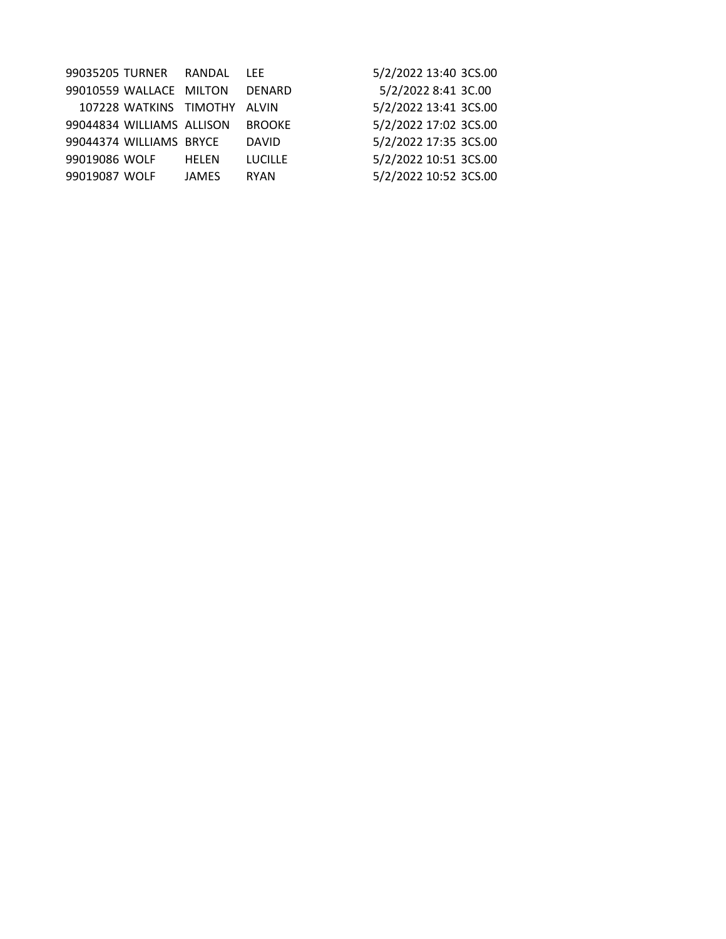| 99035205 TURNER |                           | RANDAL                       | LEE.           | 5/2/2022 13:40 3CS.00 |
|-----------------|---------------------------|------------------------------|----------------|-----------------------|
|                 | 99010559 WALLACE MILTON   |                              | DENARD         | 5/2/2022 8:41 3C.00   |
|                 |                           | 107228 WATKINS TIMOTHY ALVIN |                | 5/2/2022 13:41 3CS.00 |
|                 | 99044834 WILLIAMS ALLISON |                              | <b>BROOKE</b>  | 5/2/2022 17:02 3CS.00 |
|                 | 99044374 WILLIAMS BRYCE   |                              | <b>DAVID</b>   | 5/2/2022 17:35 3CS.00 |
| 99019086 WOLF   |                           | <b>HELEN</b>                 | <b>LUCILLE</b> | 5/2/2022 10:51 3CS.00 |
| 99019087 WOLF   |                           | <b>JAMES</b>                 | <b>RYAN</b>    | 5/2/2022 10:52 3CS.00 |